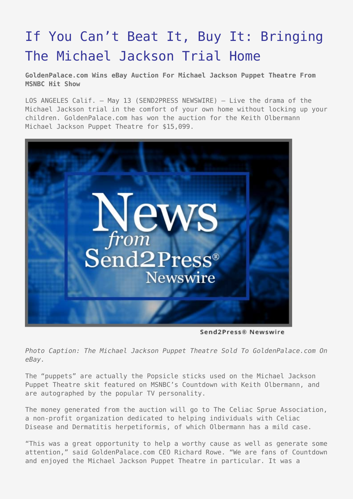## [If You Can't Beat It, Buy It: Bringing](https://www.send2press.com/wire/2005-05-0513-003/) [The Michael Jackson Trial Home](https://www.send2press.com/wire/2005-05-0513-003/)

**GoldenPalace.com Wins eBay Auction For Michael Jackson Puppet Theatre From MSNBC Hit Show**

LOS ANGELES Calif. – May 13 (SEND2PRESS NEWSWIRE) — Live the drama of the Michael Jackson trial in the comfort of your own home without locking up your children. GoldenPalace.com has won the auction for the Keith Olbermann Michael Jackson Puppet Theatre for \$15,099.



Send2Press® Newswire

*Photo Caption: The Michael Jackson Puppet Theatre Sold To GoldenPalace.com On eBay.*

The "puppets" are actually the Popsicle sticks used on the Michael Jackson Puppet Theatre skit featured on MSNBC's Countdown with Keith Olbermann, and are autographed by the popular TV personality.

The money generated from the auction will go to The Celiac Sprue Association, a non-profit organization dedicated to helping individuals with Celiac Disease and Dermatitis herpetiformis, of which Olbermann has a mild case.

"This was a great opportunity to help a worthy cause as well as generate some attention," said GoldenPalace.com CEO Richard Rowe. "We are fans of Countdown and enjoyed the Michael Jackson Puppet Theatre in particular. It was a